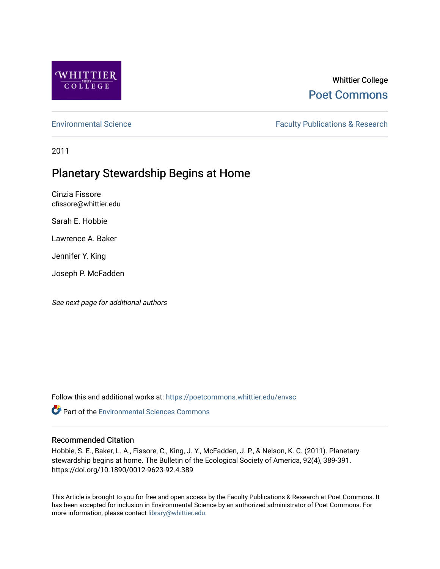

## Whittier College [Poet Commons](https://poetcommons.whittier.edu/)

[Environmental Science](https://poetcommons.whittier.edu/envsc) **Faculty Publications & Research** 

2011

# Planetary Stewardship Begins at Home

Cinzia Fissore cfissore@whittier.edu

Sarah E. Hobbie

Lawrence A. Baker

Jennifer Y. King

Joseph P. McFadden

See next page for additional authors

Follow this and additional works at: [https://poetcommons.whittier.edu/envsc](https://poetcommons.whittier.edu/envsc?utm_source=poetcommons.whittier.edu%2Fenvsc%2F2&utm_medium=PDF&utm_campaign=PDFCoverPages)

**C**<sup> $\bullet$ </sup> Part of the [Environmental Sciences Commons](http://network.bepress.com/hgg/discipline/167?utm_source=poetcommons.whittier.edu%2Fenvsc%2F2&utm_medium=PDF&utm_campaign=PDFCoverPages)

#### Recommended Citation

Hobbie, S. E., Baker, L. A., Fissore, C., King, J. Y., McFadden, J. P., & Nelson, K. C. (2011). Planetary stewardship begins at home. The Bulletin of the Ecological Society of America, 92(4), 389-391. https://doi.org/10.1890/0012-9623-92.4.389

This Article is brought to you for free and open access by the Faculty Publications & Research at Poet Commons. It has been accepted for inclusion in Environmental Science by an authorized administrator of Poet Commons. For more information, please contact [library@whittier.edu.](mailto:library@whittier.edu)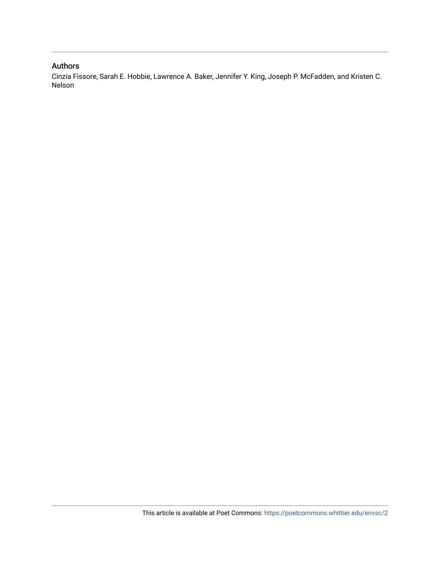#### Authors

Cinzia Fissore, Sarah E. Hobbie, Lawrence A. Baker, Jennifer Y. King, Joseph P. McFadden, and Kristen C. Nelson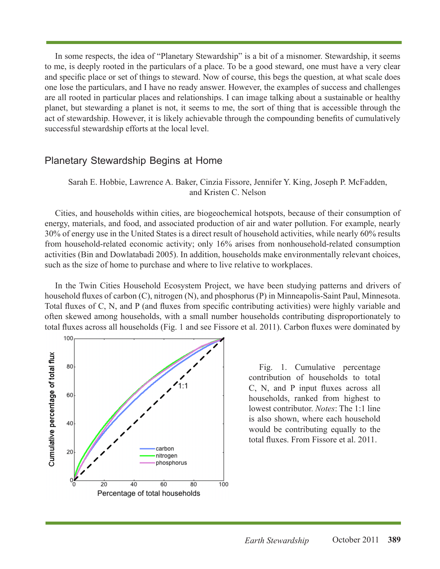In some respects, the idea of "Planetary Stewardship" is a bit of a misnomer. Stewardship, it seems to me, is deeply rooted in the particulars of a place. To be a good steward, one must have a very clear and specific place or set of things to steward. Now of course, this begs the question, at what scale does one lose the particulars, and I have no ready answer. However, the examples of success and challenges are all rooted in particular places and relationships. I can image talking about a sustainable or healthy planet, but stewarding a planet is not, it seems to me, the sort of thing that is accessible through the act of stewardship. However, it is likely achievable through the compounding benefits of cumulatively successful stewardship efforts at the local level.

### Planetary Stewardship Begins at Home

Sarah E. Hobbie, Lawrence A. Baker, Cinzia Fissore, Jennifer Y. King, Joseph P. McFadden, and Kristen C. Nelson

Cities, and households within cities, are biogeochemical hotspots, because of their consumption of energy, materials, and food, and associated production of air and water pollution. For example, nearly 30% of energy use in the United States is a direct result of household activities, while nearly 60% results from household-related economic activity; only 16% arises from nonhousehold-related consumption activities (Bin and Dowlatabadi 2005). In addition, households make environmentally relevant choices, such as the size of home to purchase and where to live relative to workplaces.

In the Twin Cities Household Ecosystem Project, we have been studying patterns and drivers of household fluxes of carbon (C), nitrogen (N), and phosphorus (P) in Minneapolis-Saint Paul, Minnesota. Total fluxes of C, N, and P (and fluxes from specific contributing activities) were highly variable and often skewed among households, with a small number households contributing disproportionately to total fluxes across all households (Fig. 1 and see Fissore et al. 2011). Carbon fluxes were dominated by



Fig. 1. Cumulative percentage contribution of households to total C, N, and P input fluxes across all households, ranked from highest to lowest contributor. *Notes*: The 1:1 line is also shown, where each household would be contributing equally to the total fluxes. From Fissore et al. 2011.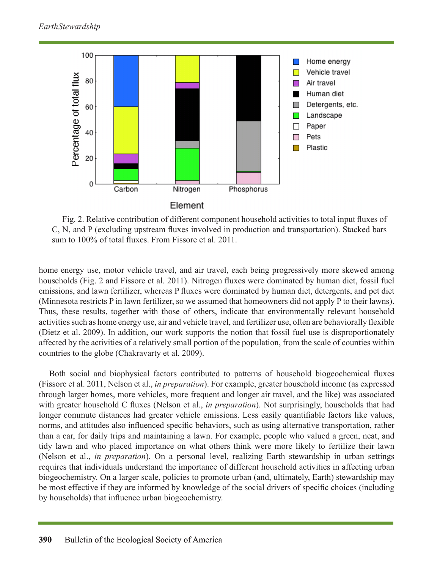

Fig. 2. Relative contribution of different component household activities to total input fluxes of C, N, and P (excluding upstream fluxes involved in production and transportation). Stacked bars sum to 100% of total fluxes. From Fissore et al. 2011.

home energy use, motor vehicle travel, and air travel, each being progressively more skewed among households (Fig. 2 and Fissore et al. 2011). Nitrogen fluxes were dominated by human diet, fossil fuel emissions, and lawn fertilizer, whereas P fluxes were dominated by human diet, detergents, and pet diet (Minnesota restricts P in lawn fertilizer, so we assumed that homeowners did not apply P to their lawns). Thus, these results, together with those of others, indicate that environmentally relevant household activities such as home energy use, air and vehicle travel, and fertilizer use, often are behaviorally flexible (Dietz et al. 2009). In addition, our work supports the notion that fossil fuel use is disproportionately affected by the activities of a relatively small portion of the population, from the scale of counties within countries to the globe (Chakravarty et al. 2009).

Both social and biophysical factors contributed to patterns of household biogeochemical fluxes (Fissore et al. 2011, Nelson et al., *in preparation*). For example, greater household income (as expressed through larger homes, more vehicles, more frequent and longer air travel, and the like) was associated with greater household C fluxes (Nelson et al., *in preparation*). Not surprisingly, households that had longer commute distances had greater vehicle emissions. Less easily quantifiable factors like values, norms, and attitudes also influenced specific behaviors, such as using alternative transportation, rather than a car, for daily trips and maintaining a lawn. For example, people who valued a green, neat, and tidy lawn and who placed importance on what others think were more likely to fertilize their lawn (Nelson et al., *in preparation*). On a personal level, realizing Earth stewardship in urban settings requires that individuals understand the importance of different household activities in affecting urban biogeochemistry. On a larger scale, policies to promote urban (and, ultimately, Earth) stewardship may be most effective if they are informed by knowledge of the social drivers of specific choices (including by households) that influence urban biogeochemistry.